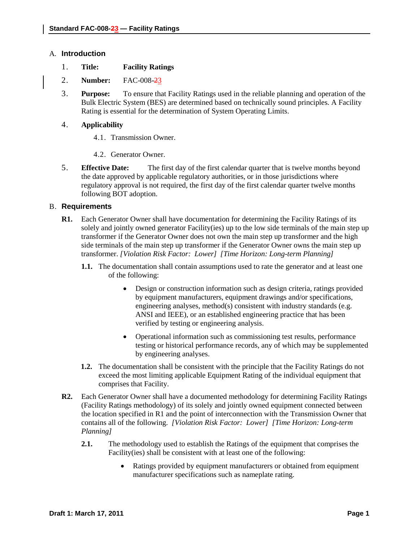#### A. **Introduction**

- 1. **Title: Facility Ratings**
- 2. **Number:** FAC-008-23
- 3. **Purpose:** To ensure that Facility Ratings used in the reliable planning and operation of the Bulk Electric System (BES) are determined based on technically sound principles. A Facility Rating is essential for the determination of System Operating Limits.

# 4. **Applicability**

- 4.1. Transmission Owner.
- 4.2. Generator Owner.
- 5. **Effective Date:** The first day of the first calendar quarter that is twelve months beyond the date approved by applicable regulatory authorities, or in those jurisdictions where regulatory approval is not required, the first day of the first calendar quarter twelve months following BOT adoption.

## B. **Requirements**

- **R1.** Each Generator Owner shall have documentation for determining the Facility Ratings of its solely and jointly owned generator Facility(ies) up to the low side terminals of the main step up transformer if the Generator Owner does not own the main step up transformer and the high side terminals of the main step up transformer if the Generator Owner owns the main step up transformer. *[Violation Risk Factor: Lower] [Time Horizon: Long-term Planning]*
	- **1.1.** The documentation shall contain assumptions used to rate the generator and at least one of the following:
		- Design or construction information such as design criteria, ratings provided by equipment manufacturers, equipment drawings and/or specifications, engineering analyses, method(s) consistent with industry standards (e.g. ANSI and IEEE), or an established engineering practice that has been verified by testing or engineering analysis.
		- Operational information such as commissioning test results, performance testing or historical performance records, any of which may be supplemented by engineering analyses.
	- **1.2.** The documentation shall be consistent with the principle that the Facility Ratings do not exceed the most limiting applicable Equipment Rating of the individual equipment that comprises that Facility.
- **R2.** Each Generator Owner shall have a documented methodology for determining Facility Ratings (Facility Ratings methodology) of its solely and jointly owned equipment connected between the location specified in R1 and the point of interconnection with the Transmission Owner that contains all of the following. *[Violation Risk Factor: Lower] [Time Horizon: Long-term Planning]*
	- **2.1.** The methodology used to establish the Ratings of the equipment that comprises the Facility(ies) shall be consistent with at least one of the following:
		- Ratings provided by equipment manufacturers or obtained from equipment manufacturer specifications such as nameplate rating.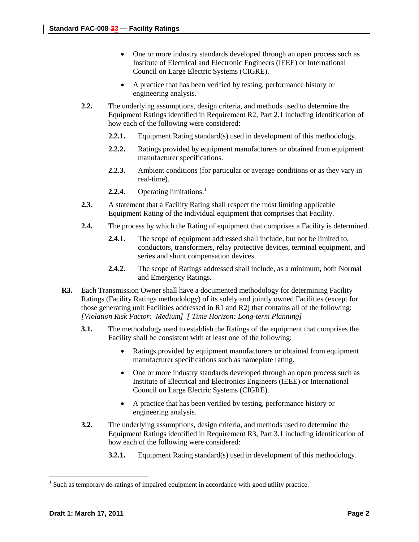- One or more industry standards developed through an open process such as Institute of Electrical and Electronic Engineers (IEEE) or International Council on Large Electric Systems (CIGRE).
- A practice that has been verified by testing, performance history or engineering analysis.
- **2.2.** The underlying assumptions, design criteria, and methods used to determine the Equipment Ratings identified in Requirement R2, Part 2.1 including identification of how each of the following were considered:
	- **2.2.1.** Equipment Rating standard(s) used in development of this methodology.
	- **2.2.2.** Ratings provided by equipment manufacturers or obtained from equipment manufacturer specifications.
	- **2.2.3.** Ambient conditions (for particular or average conditions or as they vary in real-time).
	- **2.2.4.** Operating limitations. [1](#page-1-0)
- **2.3.** A statement that a Facility Rating shall respect the most limiting applicable Equipment Rating of the individual equipment that comprises that Facility.
- **2.4.** The process by which the Rating of equipment that comprises a Facility is determined.
	- **2.4.1.** The scope of equipment addressed shall include, but not be limited to, conductors, transformers, relay protective devices, terminal equipment, and series and shunt compensation devices.
	- **2.4.2.** The scope of Ratings addressed shall include, as a minimum, both Normal and Emergency Ratings.
- **R3.** Each Transmission Owner shall have a documented methodology for determining Facility Ratings (Facility Ratings methodology) of its solely and jointly owned Facilities (except for those generating unit Facilities addressed in R1 and R2) that contains all of the following: *[Violation Risk Factor: Medium] [ Time Horizon: Long-term Planning]*
	- **3.1.** The methodology used to establish the Ratings of the equipment that comprises the Facility shall be consistent with at least one of the following:
		- Ratings provided by equipment manufacturers or obtained from equipment manufacturer specifications such as nameplate rating.
		- One or more industry standards developed through an open process such as Institute of Electrical and Electronics Engineers (IEEE) or International Council on Large Electric Systems (CIGRE).
		- A practice that has been verified by testing, performance history or engineering analysis.
	- **3.2.** The underlying assumptions, design criteria, and methods used to determine the Equipment Ratings identified in Requirement R3, Part 3.1 including identification of how each of the following were considered:
		- **3.2.1.** Equipment Rating standard(s) used in development of this methodology.

<span id="page-1-0"></span><sup>&</sup>lt;sup>1</sup> Such as temporary de-ratings of impaired equipment in accordance with good utility practice.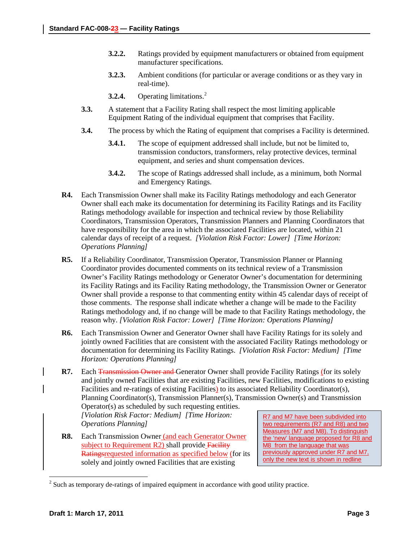- **3.2.2.** Ratings provided by equipment manufacturers or obtained from equipment manufacturer specifications.
- **3.2.3.** Ambient conditions (for particular or average conditions or as they vary in real-time).
- **3.2.4.** Operating limitations. [2](#page-2-0)
- **3.3.** A statement that a Facility Rating shall respect the most limiting applicable Equipment Rating of the individual equipment that comprises that Facility.
- **3.4.** The process by which the Rating of equipment that comprises a Facility is determined.
	- **3.4.1.** The scope of equipment addressed shall include, but not be limited to, transmission conductors, transformers, relay protective devices, terminal equipment, and series and shunt compensation devices.
	- **3.4.2.** The scope of Ratings addressed shall include, as a minimum, both Normal and Emergency Ratings.
- **R4.** Each Transmission Owner shall make its Facility Ratings methodology and each Generator Owner shall each make its documentation for determining its Facility Ratings and its Facility Ratings methodology available for inspection and technical review by those Reliability Coordinators, Transmission Operators, Transmission Planners and Planning Coordinators that have responsibility for the area in which the associated Facilities are located, within 21 calendar days of receipt of a request. *[Violation Risk Factor: Lower] [Time Horizon: Operations Planning]*
- **R5.** If a Reliability Coordinator, Transmission Operator, Transmission Planner or Planning Coordinator provides documented comments on its technical review of a Transmission Owner's Facility Ratings methodology or Generator Owner's documentation for determining its Facility Ratings and its Facility Rating methodology, the Transmission Owner or Generator Owner shall provide a response to that commenting entity within 45 calendar days of receipt of those comments. The response shall indicate whether a change will be made to the Facility Ratings methodology and, if no change will be made to that Facility Ratings methodology, the reason why. *[Violation Risk Factor: Lower] [Time Horizon: Operations Planning]*
- **R6.** Each Transmission Owner and Generator Owner shall have Facility Ratings for its solely and jointly owned Facilities that are consistent with the associated Facility Ratings methodology or documentation for determining its Facility Ratings. *[Violation Risk Factor: Medium] [Time Horizon: Operations Planning]*
- R7. Each Transmission Owner and Generator Owner shall provide Facility Ratings (for its solely and jointly owned Facilities that are existing Facilities, new Facilities, modifications to existing Facilities and re-ratings of existing Facilities) to its associated Reliability Coordinator(s), Planning Coordinator(s), Transmission Planner(s), Transmission Owner(s) and Transmission Operator(s) as scheduled by such requesting entities.

*[Violation Risk Factor: Medium] [Time Horizon: Operations Planning]*

**R8.** Each Transmission Owner (and each Generator Owner subject to Requirement R2) shall provide Facility Ratingsrequested information as specified below (for its solely and jointly owned Facilities that are existing

R7 and M7 have been subdivided into two requirements (R7 and R8) and two Measures (M7 and M8). To distinguish the 'new' language proposed for R8 and M8 from the language that was previously approved under R7 and M7, only the new text is shown in redline

<span id="page-2-0"></span><sup>&</sup>lt;sup>2</sup> Such as temporary de-ratings of impaired equipment in accordance with good utility practice.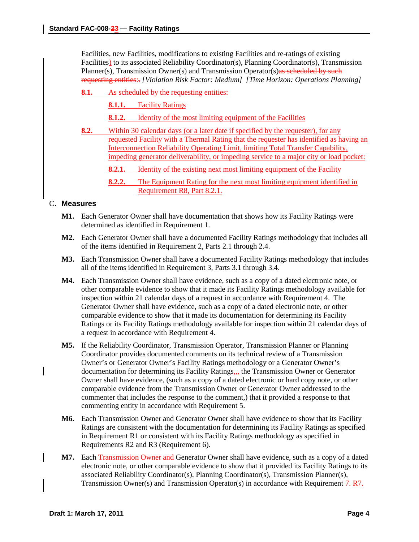Facilities, new Facilities, modifications to existing Facilities and re-ratings of existing Facilities) to its associated Reliability Coordinator(s), Planning Coordinator(s), Transmission Planner(s), Transmission Owner(s) and Transmission Operator(s)as scheduled by such requesting entities:. *[Violation Risk Factor: Medium] [Time Horizon: Operations Planning]*

**8.1.** As scheduled by the requesting entities:

**8.1.1.** Facility Ratings

- **8.1.2.** Identity of the most limiting equipment of the Facilities
- **8.2.** Within 30 calendar days (or a later date if specified by the requester), for any requested Facility with a Thermal Rating that the requester has identified as having an Interconnection Reliability Operating Limit, limiting Total Transfer Capability, impeding generator deliverability, or impeding service to a major city or load pocket:
	- **8.2.1.** Identity of the existing next most limiting equipment of the Facility
	- **8.2.2.** The Equipment Rating for the next most limiting equipment identified in Requirement R8, Part 8.2.1.

## C. **Measures**

- **M1.** Each Generator Owner shall have documentation that shows how its Facility Ratings were determined as identified in Requirement 1.
- **M2.** Each Generator Owner shall have a documented Facility Ratings methodology that includes all of the items identified in Requirement 2, Parts 2.1 through 2.4.
- **M3.** Each Transmission Owner shall have a documented Facility Ratings methodology that includes all of the items identified in Requirement 3, Parts 3.1 through 3.4.
- **M4.** Each Transmission Owner shall have evidence, such as a copy of a dated electronic note, or other comparable evidence to show that it made its Facility Ratings methodology available for inspection within 21 calendar days of a request in accordance with Requirement 4. The Generator Owner shall have evidence, such as a copy of a dated electronic note, or other comparable evidence to show that it made its documentation for determining its Facility Ratings or its Facility Ratings methodology available for inspection within 21 calendar days of a request in accordance with Requirement 4.
- **M5.** If the Reliability Coordinator, Transmission Operator, Transmission Planner or Planning Coordinator provides documented comments on its technical review of a Transmission Owner's or Generator Owner's Facility Ratings methodology or a Generator Owner's documentation for determining its Facility Ratings $\frac{1}{2}$ , the Transmission Owner or Generator Owner shall have evidence, (such as a copy of a dated electronic or hard copy note, or other comparable evidence from the Transmission Owner or Generator Owner addressed to the commenter that includes the response to the comment,) that it provided a response to that commenting entity in accordance with Requirement 5.
- **M6.** Each Transmission Owner and Generator Owner shall have evidence to show that its Facility Ratings are consistent with the documentation for determining its Facility Ratings as specified in Requirement R1 or consistent with its Facility Ratings methodology as specified in Requirements R2 and R3 (Requirement 6).
- **M7.** Each **Transmission Owner and Generator Owner shall have evidence, such as a copy of a dated** electronic note, or other comparable evidence to show that it provided its Facility Ratings to its associated Reliability Coordinator(s), Planning Coordinator(s), Transmission Planner(s), Transmission Owner(s) and Transmission Operator(s) in accordance with Requirement  $7 - R$ .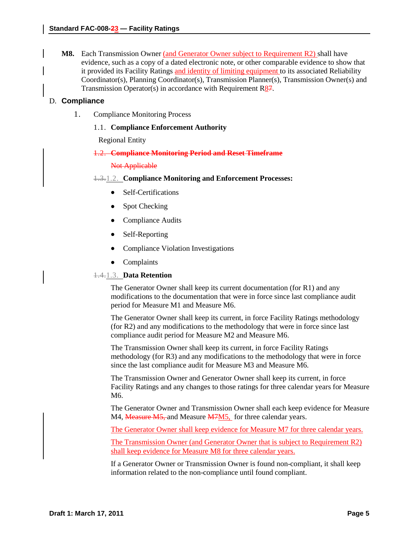**M8.** Each Transmission Owner (and Generator Owner subject to Requirement R2) shall have evidence, such as a copy of a dated electronic note, or other comparable evidence to show that it provided its Facility Ratings and identity of limiting equipment to its associated Reliability Coordinator(s), Planning Coordinator(s), Transmission Planner(s), Transmission Owner(s) and Transmission Operator(s) in accordance with Requirement R87.

## D. **Compliance**

1. Compliance Monitoring Process

## 1.1. **Compliance Enforcement Authority**

Regional Entity

## 1.2. **Compliance Monitoring Period and Reset Timeframe**

#### Not Applicable

1.3.1.2. **Compliance Monitoring and Enforcement Processes:**

- Self-Certifications
- Spot Checking
- Compliance Audits
- Self-Reporting
- Compliance Violation Investigations
- Complaints

#### 1.4.1.3. **Data Retention**

The Generator Owner shall keep its current documentation (for R1) and any modifications to the documentation that were in force since last compliance audit period for Measure M1 and Measure M6.

The Generator Owner shall keep its current, in force Facility Ratings methodology (for R2) and any modifications to the methodology that were in force since last compliance audit period for Measure M2 and Measure M6.

The Transmission Owner shall keep its current, in force Facility Ratings methodology (for R3) and any modifications to the methodology that were in force since the last compliance audit for Measure M3 and Measure M6.

The Transmission Owner and Generator Owner shall keep its current, in force Facility Ratings and any changes to those ratings for three calendar years for Measure M6.

The Generator Owner and Transmission Owner shall each keep evidence for Measure M4, Measure M5, and Measure M7M5, for three calendar years.

The Generator Owner shall keep evidence for Measure M7 for three calendar years.

The Transmission Owner (and Generator Owner that is subject to Requirement R2) shall keep evidence for Measure M8 for three calendar years.

If a Generator Owner or Transmission Owner is found non-compliant, it shall keep information related to the non-compliance until found compliant.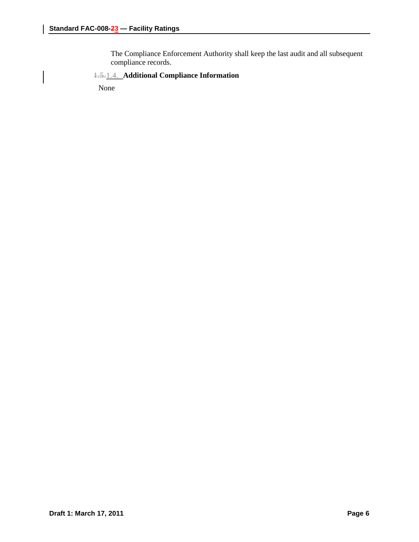The Compliance Enforcement Authority shall keep the last audit and all subsequent compliance records.

## 1.5.1.4. **Additional Compliance Information**

None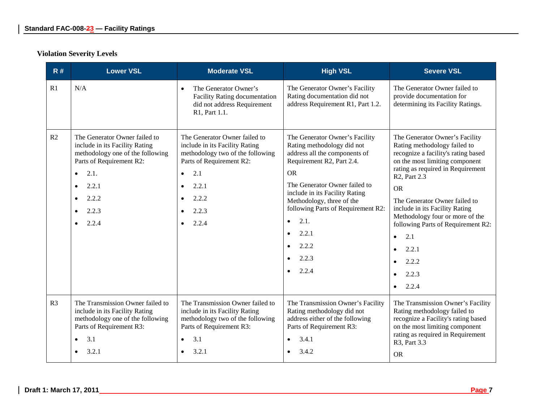# **Violation Severity Levels**

| R#             | <b>Lower VSL</b>                                                                                                                                                                                                                             | <b>Moderate VSL</b>                                                                                                                                                                                  | <b>High VSL</b>                                                                                                                                                                                                                                                                                                                                     | <b>Severe VSL</b>                                                                                                                                                                                                                                                                                                                                                                                                                                    |
|----------------|----------------------------------------------------------------------------------------------------------------------------------------------------------------------------------------------------------------------------------------------|------------------------------------------------------------------------------------------------------------------------------------------------------------------------------------------------------|-----------------------------------------------------------------------------------------------------------------------------------------------------------------------------------------------------------------------------------------------------------------------------------------------------------------------------------------------------|------------------------------------------------------------------------------------------------------------------------------------------------------------------------------------------------------------------------------------------------------------------------------------------------------------------------------------------------------------------------------------------------------------------------------------------------------|
| R1             | N/A                                                                                                                                                                                                                                          | The Generator Owner's<br>$\bullet$<br><b>Facility Rating documentation</b><br>did not address Requirement<br>R1, Part 1.1.                                                                           | The Generator Owner's Facility<br>Rating documentation did not<br>address Requirement R1, Part 1.2.                                                                                                                                                                                                                                                 | The Generator Owner failed to<br>provide documentation for<br>determining its Facility Ratings.                                                                                                                                                                                                                                                                                                                                                      |
| R2             | The Generator Owner failed to<br>include in its Facility Rating<br>methodology one of the following<br>Parts of Requirement R2:<br>2.1.<br>$\bullet$<br>2.2.1<br>$\bullet$<br>2.2.2<br>$\bullet$<br>2.2.3<br>$\bullet$<br>2.2.4<br>$\bullet$ | The Generator Owner failed to<br>include in its Facility Rating<br>methodology two of the following<br>Parts of Requirement R2:<br>2.1<br>$\bullet$<br>2.2.1<br>$\bullet$<br>2.2.2<br>2.2.3<br>2.2.4 | The Generator Owner's Facility<br>Rating methodology did not<br>address all the components of<br>Requirement R2, Part 2.4.<br><b>OR</b><br>The Generator Owner failed to<br>include in its Facility Rating<br>Methodology, three of the<br>following Parts of Requirement R2:<br>2.1.<br>$\bullet$<br>2.2.1<br>$\bullet$<br>2.2.2<br>2.2.3<br>2.2.4 | The Generator Owner's Facility<br>Rating methodology failed to<br>recognize a facility's rating based<br>on the most limiting component<br>rating as required in Requirement<br>R <sub>2</sub> , Part 2.3<br><b>OR</b><br>The Generator Owner failed to<br>include in its Facility Rating<br>Methodology four or more of the<br>following Parts of Requirement R2:<br>2.1<br>$\bullet$<br>2.2.1<br>$\bullet$<br>2.2.2<br>2.2.3<br>2.2.4<br>$\bullet$ |
| R <sub>3</sub> | The Transmission Owner failed to<br>include in its Facility Rating<br>methodology one of the following<br>Parts of Requirement R3:<br>3.1<br>$\bullet$<br>3.2.1<br>$\bullet$                                                                 | The Transmission Owner failed to<br>include in its Facility Rating<br>methodology two of the following<br>Parts of Requirement R3:<br>3.1<br>$\bullet$<br>3.2.1                                      | The Transmission Owner's Facility<br>Rating methodology did not<br>address either of the following<br>Parts of Requirement R3:<br>3.4.1<br>3.4.2                                                                                                                                                                                                    | The Transmission Owner's Facility<br>Rating methodology failed to<br>recognize a Facility's rating based<br>on the most limiting component<br>rating as required in Requirement<br>R3, Part 3.3<br><b>OR</b>                                                                                                                                                                                                                                         |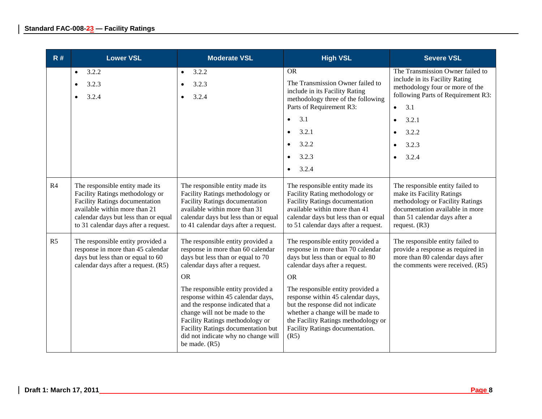| R#             | <b>Lower VSL</b>                                                                                                                                                                                                             | <b>Moderate VSL</b>                                                                                                                                                                                                                                                              | <b>High VSL</b>                                                                                                                                                                                                                   | <b>Severe VSL</b>                                                                                                                                                                       |
|----------------|------------------------------------------------------------------------------------------------------------------------------------------------------------------------------------------------------------------------------|----------------------------------------------------------------------------------------------------------------------------------------------------------------------------------------------------------------------------------------------------------------------------------|-----------------------------------------------------------------------------------------------------------------------------------------------------------------------------------------------------------------------------------|-----------------------------------------------------------------------------------------------------------------------------------------------------------------------------------------|
|                | 3.2.2<br>$\bullet$<br>3.2.3<br>3.2.4                                                                                                                                                                                         | 3.2.2<br>$\bullet$<br>3.2.3<br>$\bullet$<br>3.2.4<br>$\bullet$                                                                                                                                                                                                                   | <b>OR</b><br>The Transmission Owner failed to<br>include in its Facility Rating<br>methodology three of the following<br>Parts of Requirement R3:                                                                                 | The Transmission Owner failed to<br>include in its Facility Rating<br>methodology four or more of the<br>following Parts of Requirement R3:<br>3.1<br>$\bullet$                         |
|                |                                                                                                                                                                                                                              |                                                                                                                                                                                                                                                                                  | 3.1<br>$\bullet$                                                                                                                                                                                                                  | 3.2.1<br>$\bullet$                                                                                                                                                                      |
|                |                                                                                                                                                                                                                              |                                                                                                                                                                                                                                                                                  | 3.2.1<br>$\bullet$                                                                                                                                                                                                                | 3.2.2                                                                                                                                                                                   |
|                |                                                                                                                                                                                                                              |                                                                                                                                                                                                                                                                                  | 3.2.2<br>$\bullet$                                                                                                                                                                                                                | 3.2.3                                                                                                                                                                                   |
|                |                                                                                                                                                                                                                              |                                                                                                                                                                                                                                                                                  | 3.2.3<br>$\bullet$                                                                                                                                                                                                                | 3.2.4                                                                                                                                                                                   |
|                |                                                                                                                                                                                                                              |                                                                                                                                                                                                                                                                                  | 3.2.4<br>$\bullet$                                                                                                                                                                                                                |                                                                                                                                                                                         |
| R4             | The responsible entity made its<br>Facility Ratings methodology or<br><b>Facility Ratings documentation</b><br>available within more than 21<br>calendar days but less than or equal<br>to 31 calendar days after a request. | The responsible entity made its<br>Facility Ratings methodology or<br><b>Facility Ratings documentation</b><br>available within more than 31<br>calendar days but less than or equal<br>to 41 calendar days after a request.                                                     | The responsible entity made its<br>Facility Rating methodology or<br><b>Facility Ratings documentation</b><br>available within more than 41<br>calendar days but less than or equal<br>to 51 calendar days after a request.       | The responsible entity failed to<br>make its Facility Ratings<br>methodology or Facility Ratings<br>documentation available in more<br>than 51 calendar days after a<br>request. $(R3)$ |
| R <sub>5</sub> | The responsible entity provided a<br>response in more than 45 calendar<br>days but less than or equal to 60<br>calendar days after a request. (R5)                                                                           | The responsible entity provided a<br>response in more than 60 calendar<br>days but less than or equal to 70<br>calendar days after a request.<br><b>OR</b>                                                                                                                       | The responsible entity provided a<br>response in more than 70 calendar<br>days but less than or equal to 80<br>calendar days after a request.<br><b>OR</b>                                                                        | The responsible entity failed to<br>provide a response as required in<br>more than 80 calendar days after<br>the comments were received. (R5)                                           |
|                |                                                                                                                                                                                                                              | The responsible entity provided a<br>response within 45 calendar days,<br>and the response indicated that a<br>change will not be made to the<br>Facility Ratings methodology or<br>Facility Ratings documentation but<br>did not indicate why no change will<br>be made. $(R5)$ | The responsible entity provided a<br>response within 45 calendar days,<br>but the response did not indicate<br>whether a change will be made to<br>the Facility Ratings methodology or<br>Facility Ratings documentation.<br>(R5) |                                                                                                                                                                                         |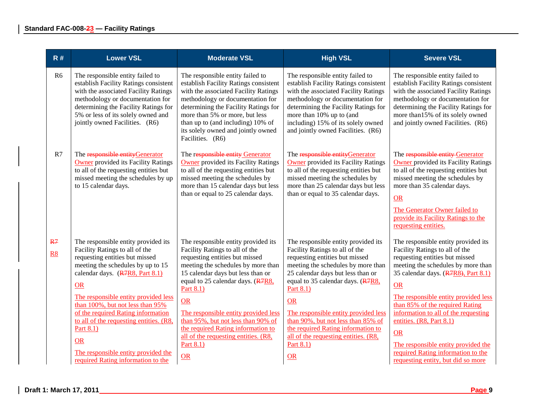| R#                                 | <b>Lower VSL</b>                                                                                                                                                                                                                                                                                                                                                                                                                                          | <b>Moderate VSL</b>                                                                                                                                                                                                                                                                                                                                                                                                              | <b>High VSL</b>                                                                                                                                                                                                                                                                                                                                                                                                                         | <b>Severe VSL</b>                                                                                                                                                                                                                                                                                                                                                                                                                                                  |
|------------------------------------|-----------------------------------------------------------------------------------------------------------------------------------------------------------------------------------------------------------------------------------------------------------------------------------------------------------------------------------------------------------------------------------------------------------------------------------------------------------|----------------------------------------------------------------------------------------------------------------------------------------------------------------------------------------------------------------------------------------------------------------------------------------------------------------------------------------------------------------------------------------------------------------------------------|-----------------------------------------------------------------------------------------------------------------------------------------------------------------------------------------------------------------------------------------------------------------------------------------------------------------------------------------------------------------------------------------------------------------------------------------|--------------------------------------------------------------------------------------------------------------------------------------------------------------------------------------------------------------------------------------------------------------------------------------------------------------------------------------------------------------------------------------------------------------------------------------------------------------------|
| R <sub>6</sub>                     | The responsible entity failed to<br>establish Facility Ratings consistent<br>with the associated Facility Ratings<br>methodology or documentation for<br>determining the Facility Ratings for<br>5% or less of its solely owned and<br>jointly owned Facilities. (R6)                                                                                                                                                                                     | The responsible entity failed to<br>establish Facility Ratings consistent<br>with the associated Facility Ratings<br>methodology or documentation for<br>determining the Facility Ratings for<br>more than 5% or more, but less<br>than up to (and including) 10% of<br>its solely owned and jointly owned<br>Facilities. (R6)                                                                                                   | The responsible entity failed to<br>establish Facility Ratings consistent<br>with the associated Facility Ratings<br>methodology or documentation for<br>determining the Facility Ratings for<br>more than 10% up to (and<br>including) 15% of its solely owned<br>and jointly owned Facilities. (R6)                                                                                                                                   | The responsible entity failed to<br>establish Facility Ratings consistent<br>with the associated Facility Ratings<br>methodology or documentation for<br>determining the Facility Ratings for<br>more than 15% of its solely owned<br>and jointly owned Facilities. (R6)                                                                                                                                                                                           |
| R7                                 | The responsible entityGenerator<br><b>Owner</b> provided its Facility Ratings<br>to all of the requesting entities but<br>missed meeting the schedules by up<br>to 15 calendar days.                                                                                                                                                                                                                                                                      | The responsible entity Generator<br><b>Owner</b> provided its Facility Ratings<br>to all of the requesting entities but<br>missed meeting the schedules by<br>more than 15 calendar days but less<br>than or equal to 25 calendar days.                                                                                                                                                                                          | The responsible entityGenerator<br><b>Owner</b> provided its Facility Ratings<br>to all of the requesting entities but<br>missed meeting the schedules by<br>more than 25 calendar days but less<br>than or equal to 35 calendar days.                                                                                                                                                                                                  | The responsible entity Generator<br><b>Owner</b> provided its Facility Ratings<br>to all of the requesting entities but<br>missed meeting the schedules by<br>more than 35 calendar days.<br><b>OR</b><br>The Generator Owner failed to<br>provide its Facility Ratings to the<br>requesting entities.                                                                                                                                                             |
| R <sub>7</sub><br>$\underline{R8}$ | The responsible entity provided its<br>Facility Ratings to all of the<br>requesting entities but missed<br>meeting the schedules by up to 15<br>calendar days. (R7R8, Part 8.1)<br>OR<br>The responsible entity provided less<br>than 100%, but not less than 95%<br>of the required Rating information<br>to all of the requesting entities. (R8,<br>Part 8.1)<br><b>OR</b><br>The responsible entity provided the<br>required Rating information to the | The responsible entity provided its<br>Facility Ratings to all of the<br>requesting entities but missed<br>meeting the schedules by more than<br>15 calendar days but less than or<br>equal to 25 calendar days. (R7R8,<br>Part 8.1)<br><b>OR</b><br>The responsible entity provided less<br>than 95%, but not less than 90% of<br>the required Rating information to<br>all of the requesting entities. (R8,<br>Part 8.1)<br>OR | The responsible entity provided its<br>Facility Ratings to all of the<br>requesting entities but missed<br>meeting the schedules by more than<br>25 calendar days but less than or<br>equal to 35 calendar days. (R7R8,<br>Part 8.1)<br><b>OR</b><br>The responsible entity provided less<br>than 90%, but not less than 85% of<br>the required Rating information to<br>all of the requesting entities. (R8,<br>Part 8.1)<br><b>OR</b> | The responsible entity provided its<br>Facility Ratings to all of the<br>requesting entities but missed<br>meeting the schedules by more than<br>35 calendar days. (R7R8), Part 8.1)<br>OR<br>The responsible entity provided less<br>than 85% of the required Rating<br>information to all of the requesting<br>entities. (R8, Part 8.1)<br>OR<br>The responsible entity provided the<br>required Rating information to the<br>requesting entity, but did so more |